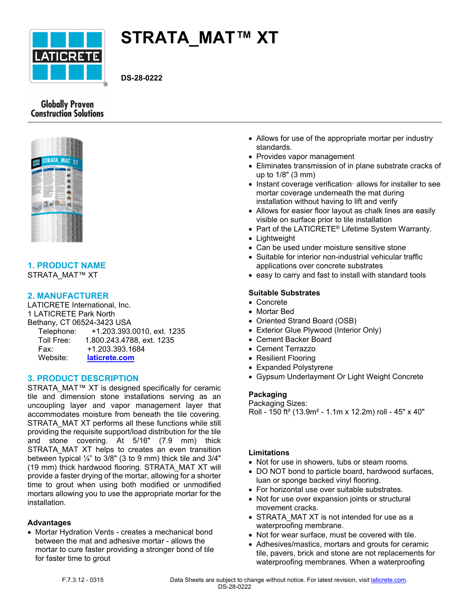

# **STRATA\_MAT™ XT**

**DS-28-0222**

# **Globally Proven Construction Solutions**



# **1. PRODUCT NAME**

STRATA\_MAT™ XT

# **2. MANUFACTURER**

LATICRETE International, Inc. 1 LATICRETE Park North Bethany, CT 06524-3423 USA Telephone: +1.203.393.0010, ext. 1235 Toll Free: 1.800.243.4788, ext. 1235 Fax: +1.203.393.1684 Website: **[laticrete.com](https://laticrete.com/)**

# **3. PRODUCT DESCRIPTION**

STRATA\_MAT™ XT is designed specifically for ceramic tile and dimension stone installations serving as an uncoupling layer and vapor management layer that accommodates moisture from beneath the tile covering. STRATA\_MAT XT performs all these functions while still providing the requisite support/load distribution for the tile and stone covering. At 5/16" (7.9 mm) thick STRATA MAT XT helps to creates an even transition between typical  $\frac{1}{4}$ " to 3/8" (3 to 9 mm) thick tile and 3/4" (19 mm) thick hardwood flooring. STRATA\_MAT XT will provide a faster drying of the mortar, allowing for a shorter time to grout when using both modified or unmodified mortars allowing you to use the appropriate mortar for the installation.

# **Advantages**

• Mortar Hydration Vents - creates a mechanical bond between the mat and adhesive mortar - allows the mortar to cure faster providing a stronger bond of tile for faster time to grout

- Allows for use of the appropriate mortar per industry standards.
- Provides vapor management
- Eliminates transmission of in plane substrate cracks of up to 1/8" (3 mm)
- Instant coverage verification allows for installer to see mortar coverage underneath the mat during installation without having to lift and verify
- Allows for easier floor layout as chalk lines are easily visible on surface prior to tile installation
- Part of the LATICRETE<sup>®</sup> Lifetime System Warranty.
- Lightweight
- Can be used under moisture sensitive stone
- Suitable for interior non-industrial vehicular traffic applications over concrete substrates
- easy to carry and fast to install with standard tools

#### **Suitable Substrates**

- Concrete
- Mortar Bed
- Oriented Strand Board (OSB)
- Exterior Glue Plywood (Interior Only)
- Cement Backer Board
- Cement Terrazzo
- Resilient Flooring
- Expanded Polystyrene
- Gypsum Underlayment Or Light Weight Concrete

#### **Packaging**

Packaging Sizes: Roll - 150 ft² (13.9m² - 1.1m x 12.2m) roll - 45" x 40"

#### **Limitations**

- Not for use in showers, tubs or steam rooms.
- DO NOT bond to particle board, hardwood surfaces, luan or sponge backed vinyl flooring.
- For horizontal use over suitable substrates.
- Not for use over expansion joints or structural movement cracks.
- STRATA\_MAT XT is not intended for use as a waterproofing membrane.
- Not for wear surface, must be covered with tile.
- Adhesives/mastics, mortars and grouts for ceramic tile, pavers, brick and stone are not replacements for waterproofing membranes. When a waterproofing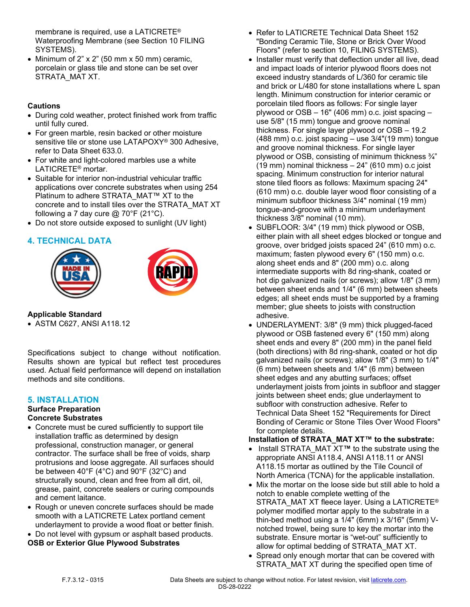membrane is required, use a LATICRETE® Waterproofing Membrane (see Section 10 FILING SYSTEMS).

• Minimum of 2" x 2" (50 mm x 50 mm) ceramic, porcelain or glass tile and stone can be set over STRATA\_MAT XT.

#### **Cautions**

- During cold weather, protect finished work from traffic until fully cured.
- For green marble, resin backed or other moisture sensitive tile or stone use LATAPOXY® 300 Adhesive, refer to Data Sheet 633.0.
- For white and light-colored marbles use a white LATICRETE® mortar.
- Suitable for interior non-industrial vehicular traffic applications over concrete substrates when using 254 Platinum to adhere STRATA\_MAT™ XT to the concrete and to install tiles over the STRATA\_MAT XT following a 7 day cure  $@$  70°F (21°C).
- Do not store outside exposed to sunlight (UV light)

# **4. TECHNICAL DATA**





**Applicable Standard**

• ASTM C627, ANSI A118.12

Specifications subject to change without notification. Results shown are typical but reflect test procedures used. Actual field performance will depend on installation methods and site conditions.

# **5. INSTALLATION**

# **Surface Preparation**

# **Concrete Substrates**

- Concrete must be cured sufficiently to support tile installation traffic as determined by design professional, construction manager, or general contractor. The surface shall be free of voids, sharp protrusions and loose aggregate. All surfaces should be between 40°F (4°C) and 90°F (32°C) and structurally sound, clean and free from all dirt, oil, grease, paint, concrete sealers or curing compounds and cement laitance.
- Rough or uneven concrete surfaces should be made smooth with a LATICRETE Latex portland cement underlayment to provide a wood float or better finish.
- Do not level with gypsum or asphalt based products.

#### **OSB or Exterior Glue Plywood Substrates**

- Refer to LATICRETE Technical Data Sheet 152 "Bonding Ceramic Tile, Stone or Brick Over Wood Floors" (refer to section 10, FILING SYSTEMS).
- Installer must verify that deflection under all live, dead and impact loads of interior plywood floors does not exceed industry standards of L/360 for ceramic tile and brick or L/480 for stone installations where L span length. Minimum construction for interior ceramic or porcelain tiled floors as follows: For single layer plywood or OSB – 16" (406 mm) o.c. joist spacing – use 5/8" (15 mm) tongue and groove nominal thickness. For single layer plywood or OSB – 19.2 (488 mm) o.c. joist spacing – use 3/4"(19 mm) tongue and groove nominal thickness. For single layer plywood or OSB, consisting of minimum thickness ¾" (19 mm) nominal thickness – 24" (610 mm) o.c joist spacing. Minimum construction for interior natural stone tiled floors as follows: Maximum spacing 24" (610 mm) o.c. double layer wood floor consisting of a minimum subfloor thickness 3/4" nominal (19 mm) tongue-and-groove with a minimum underlayment thickness 3/8" nominal (10 mm).
- SUBFLOOR: 3/4" (19 mm) thick plywood or OSB, either plain with all sheet edges blocked or tongue and groove, over bridged joists spaced 24" (610 mm) o.c. maximum; fasten plywood every 6" (150 mm) o.c. along sheet ends and 8" (200 mm) o.c. along intermediate supports with 8d ring-shank, coated or hot dip galvanized nails (or screws); allow 1/8" (3 mm) between sheet ends and 1/4" (6 mm) between sheets edges; all sheet ends must be supported by a framing member; glue sheets to joists with construction adhesive.
- UNDERLAYMENT: 3/8" (9 mm) thick plugged-faced plywood or OSB fastened every 6" (150 mm) along sheet ends and every 8" (200 mm) in the panel field (both directions) with 8d ring-shank, coated or hot dip galvanized nails (or screws); allow 1/8" (3 mm) to 1/4" (6 mm) between sheets and 1/4" (6 mm) between sheet edges and any abutting surfaces; offset underlayment joists from joints in subfloor and stagger joints between sheet ends; glue underlayment to subfloor with construction adhesive. Refer to Technical Data Sheet 152 "Requirements for Direct Bonding of Ceramic or Stone Tiles Over Wood Floors" for complete details.

#### **Installation of STRATA\_MAT XT™ to the substrate:**

- Install STRATA\_MAT XT**™** to the substrate using the appropriate ANSI A118.4, ANSI A118.11 or ANSI A118.15 mortar as outlined by the Tile Council of North America (TCNA) for the applicable installation.
- Mix the mortar on the loose side but still able to hold a notch to enable complete wetting of the STRATA\_MAT XT fleece layer. Using a LATICRETE® polymer modified mortar apply to the substrate in a thin-bed method using a 1/4" (6mm) x 3/16" (5mm) Vnotched trowel, being sure to key the mortar into the substrate. Ensure mortar is "wet-out" sufficiently to allow for optimal bedding of STRATA\_MAT XT.
- Spread only enough mortar that can be covered with STRATA\_MAT XT during the specified open time of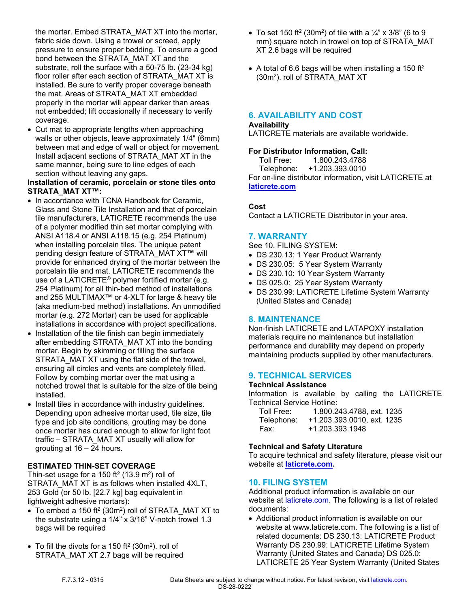the mortar. Embed STRATA\_MAT XT into the mortar, fabric side down. Using a trowel or screed, apply pressure to ensure proper bedding. To ensure a good bond between the STRATA\_MAT XT and the substrate, roll the surface with a 50-75 lb. (23-34 kg) floor roller after each section of STRATA\_MAT XT is installed. Be sure to verify proper coverage beneath the mat. Areas of STRATA\_MAT XT embedded properly in the mortar will appear darker than areas not embedded; lift occasionally if necessary to verify coverage.

• Cut mat to appropriate lengths when approaching walls or other objects, leave approximately 1/4" (6mm) between mat and edge of wall or object for movement. Install adjacent sections of STRATA\_MAT XT in the same manner, being sure to line edges of each section without leaving any gaps.

#### **Installation of ceramic, porcelain or stone tiles onto STRATA\_MAT XT™:**

- In accordance with TCNA Handbook for Ceramic, Glass and Stone Tile Installation and that of porcelain tile manufacturers, LATICRETE recommends the use of a polymer modified thin set mortar complying with ANSI A118.4 or ANSI A118.15 (e.g. 254 Platinum) when installing porcelain tiles. The unique patent pending design feature of STRATA\_MAT XT**™** will provide for enhanced drying of the mortar between the porcelain tile and mat. LATICRETE recommends the use of a LATICRETE® polymer fortified mortar (e.g. 254 Platinum) for all thin-bed method of installations and 255 MULTIMAX™ or 4-XLT for large & heavy tile (aka medium-bed method) installations. An unmodified mortar (e.g. 272 Mortar) can be used for applicable installations in accordance with project specifications.
- Installation of the tile finish can begin immediately after embedding STRATA\_MAT XT into the bonding mortar. Begin by skimming or filling the surface STRATA MAT XT using the flat side of the trowel, ensuring all circles and vents are completely filled. Follow by combing mortar over the mat using a notched trowel that is suitable for the size of tile being installed.
- Install tiles in accordance with industry guidelines. Depending upon adhesive mortar used, tile size, tile type and job site conditions, grouting may be done once mortar has cured enough to allow for light foot traffic – STRATA\_MAT XT usually will allow for grouting at 16 – 24 hours.

#### **ESTIMATED THIN-SET COVERAGE**

Thin-set usage for a 150 ft<sup>2</sup> (13.9 m<sup>2</sup>) roll of STRATA\_MAT XT is as follows when installed 4XLT, 253 Gold (or 50 lb. [22.7 kg] bag equivalent in lightweight adhesive mortars):

- $\bullet$  To embed a 150 ft<sup>2</sup> (30m<sup>2</sup>) roll of STRATA\_MAT XT to the substrate using a  $1/4$ " x  $3/16$ " V-notch trowel 1.3 bags will be required
- To fill the divots for a 150 ft<sup>2</sup> (30m<sup>2</sup>). roll of STRATA\_MAT XT 2.7 bags will be required
- To set 150 ft<sup>2</sup> (30m<sup>2</sup>) of tile with a  $\frac{1}{4}$ " x 3/8" (6 to 9 mm) square notch in trowel on top of STRATA\_MAT XT 2.6 bags will be required
- A total of 6.6 bags will be when installing a 150 ft<sup>2</sup> (30m<sup>2</sup> ). roll of STRATA\_MAT XT

# **6. AVAILABILITY AND COST**

#### **Availability**

LATICRETE materials are available worldwide.

#### **For Distributor Information, Call:**

 Toll Free: 1.800.243.4788 Telephone: +1.203.393.0010 For on-line distributor information, visit LATICRETE at **[laticrete.com](https://laticrete.com/)**

#### **Cost**

Contact a LATICRETE Distributor in your area.

#### **7. WARRANTY**

See 10. FILING SYSTEM:

- DS 230.13: 1 Year Product Warranty
- DS 230.05: 5 Year System Warranty
- DS 230.10: 10 Year System Warranty
- DS 025.0: 25 Year System Warranty
- DS 230.99: LATICRETE Lifetime System Warranty (United States and Canada)

# **8. MAINTENANCE**

Non-finish LATICRETE and LATAPOXY installation materials require no maintenance but installation performance and durability may depend on properly maintaining products supplied by other manufacturers.

# **9. TECHNICAL SERVICES**

#### **Technical Assistance**

Information is available by calling the LATICRETE Technical Service Hotline:

| Toll Free: | 1.800.243.4788, ext. 1235  |
|------------|----------------------------|
| Telephone: | +1.203.393.0010, ext. 1235 |
| Fax:       | +1.203.393.1948            |

#### **Technical and Safety Literature**

To acquire technical and safety literature, please visit our website at **[laticrete.com](https://laticrete.com/).**

# **10. FILING SYSTEM**

Additional product information is available on our website at **[laticrete.com](https://laticrete.com/)**. The following is a list of related documents:

• Additional product information is available on our website at www.laticrete.com. The following is a list of related documents: DS 230.13: LATICRETE Product Warranty DS 230.99: LATICRETE Lifetime System Warranty (United States and Canada) DS 025.0: LATICRETE 25 Year System Warranty (United States